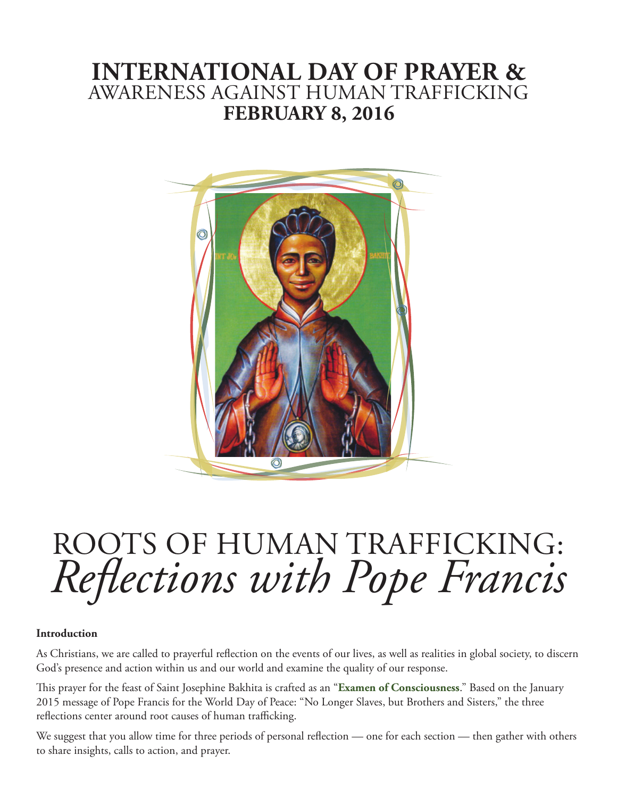# **INTERNATIONAL DAY OF PRAYER &**  AWARENESS AGAINST HUMAN TRAFFICKING **FEBRUARY 8, 2016**



# ROOTS OF HUMAN TRAFFICKING: *Reflections with Pope Francis*

#### **Introduction**

As Christians, we are called to prayerful reflection on the events of our lives, as well as realities in global society, to discern God's presence and action within us and our world and examine the quality of our response.

This prayer for the feast of Saint Josephine Bakhita is crafted as an "**[Examen of Consciousness](http://www.ignatianspirituality.com/ignatian-prayer/the-examen/consciousness-examen)**." Based on the January 2015 message of Pope Francis for the World Day of Peace: "No Longer Slaves, but Brothers and Sisters," the three reflections center around root causes of human trafficking.

We suggest that you allow time for three periods of personal reflection — one for each section — then gather with others to share insights, calls to action, and prayer.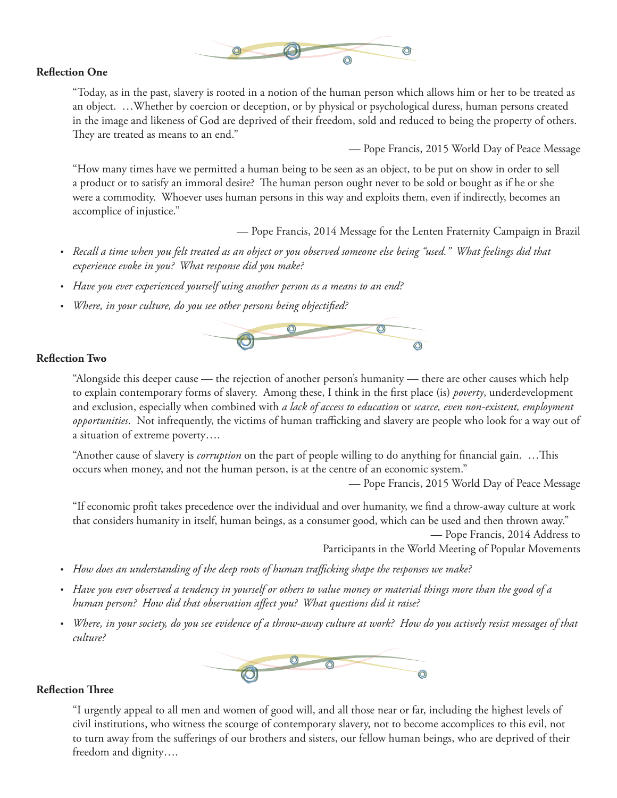

#### **Reflection One**

"Today, as in the past, slavery is rooted in a notion of the human person which allows him or her to be treated as an object. …Whether by coercion or deception, or by physical or psychological duress, human persons created in the image and likeness of God are deprived of their freedom, sold and reduced to being the property of others. They are treated as means to an end."

— Pope Francis, 2015 World Day of Peace Message

"How many times have we permitted a human being to be seen as an object, to be put on show in order to sell a product or to satisfy an immoral desire? The human person ought never to be sold or bought as if he or she were a commodity. Whoever uses human persons in this way and exploits them, even if indirectly, becomes an accomplice of injustice."

— Pope Francis, 2014 Message for the Lenten Fraternity Campaign in Brazil

- Recall a time when you felt treated as an object or you observed someone else being "used." What feelings did that *experience evoke in you? What response did you make?*
- • *Have you ever experienced yourself using another person as a means to an end?*
- • *Where, in your culture, do you see other persons being objectified?*



#### **Reflection Two**

"Alongside this deeper cause — the rejection of another person's humanity — there are other causes which help to explain contemporary forms of slavery. Among these, I think in the first place (is) *poverty*, underdevelopment and exclusion, especially when combined with *a lack of access to education* or *scarce, even non-existent, employment opportunities*. Not infrequently, the victims of human trafficking and slavery are people who look for a way out of a situation of extreme poverty….

"Another cause of slavery is *corruption* on the part of people willing to do anything for financial gain. …This occurs when money, and not the human person, is at the centre of an economic system."

— Pope Francis, 2015 World Day of Peace Message

"If economic profit takes precedence over the individual and over humanity, we find a throw-away culture at work that considers humanity in itself, human beings, as a consumer good, which can be used and then thrown away."

— Pope Francis, 2014 Address to

Participants in the World Meeting of Popular Movements

- • *How does an understanding of the deep roots of human trafficking shape the responses we make?*
- • *Have you ever observed a tendency in yourself or others to value money or material things more than the good of a human person? How did that observation affect you? What questions did it raise?*
- • *Where, in your society, do you see evidence of a throw-away culture at work? How do you actively resist messages of that culture?*



#### **Reflection Three**

"I urgently appeal to all men and women of good will, and all those near or far, including the highest levels of civil institutions, who witness the scourge of contemporary slavery, not to become accomplices to this evil, not to turn away from the sufferings of our brothers and sisters, our fellow human beings, who are deprived of their freedom and dignity….